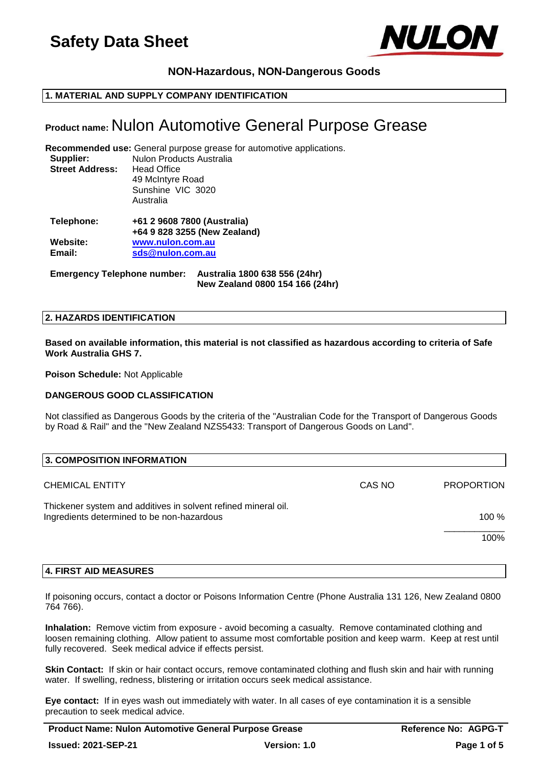

# **NON-Hazardous, NON-Dangerous Goods**

# **1. MATERIAL AND SUPPLY COMPANY IDENTIFICATION**

# **Product name:** Nulon Automotive General Purpose Grease

**Recommended use:** General purpose grease for automotive applications. **Supplier:** Nulon Products Australia **Street Address:** Head Office 49 McIntyre Road Sunshine VIC 3020 Australia **Telephone: +61 2 9608 7800 (Australia)**

| Telephone: | +61 2 9608 7800 (Australia)  |  |
|------------|------------------------------|--|
|            | +64 9 828 3255 (New Zealand) |  |
| Website:   | www.nulon.com.au             |  |
| Email:     | sds@nulon.com.au             |  |
|            |                              |  |

**Emergency Telephone number: Australia 1800 638 556 (24hr) New Zealand 0800 154 166 (24hr)**

#### **2. HAZARDS IDENTIFICATION**

**Based on available information, this material is not classified as hazardous according to criteria of Safe Work Australia GHS 7.**

**Poison Schedule:** Not Applicable

# **DANGEROUS GOOD CLASSIFICATION**

Not classified as Dangerous Goods by the criteria of the "Australian Code for the Transport of Dangerous Goods by Road & Rail" and the "New Zealand NZS5433: Transport of Dangerous Goods on Land".

| 3. COMPOSITION INFORMATION                                                                                   |        |                   |
|--------------------------------------------------------------------------------------------------------------|--------|-------------------|
| <b>CHEMICAL ENTITY</b>                                                                                       | CAS NO | <b>PROPORTION</b> |
| Thickener system and additives in solvent refined mineral oil.<br>Ingredients determined to be non-hazardous |        | 100 $%$           |
|                                                                                                              |        | 100%              |

# **4. FIRST AID MEASURES**

If poisoning occurs, contact a doctor or Poisons Information Centre (Phone Australia 131 126, New Zealand 0800 764 766).

**Inhalation:** Remove victim from exposure - avoid becoming a casualty. Remove contaminated clothing and loosen remaining clothing. Allow patient to assume most comfortable position and keep warm. Keep at rest until fully recovered. Seek medical advice if effects persist.

**Skin Contact:** If skin or hair contact occurs, remove contaminated clothing and flush skin and hair with running water. If swelling, redness, blistering or irritation occurs seek medical assistance.

**Eye contact:** If in eyes wash out immediately with water. In all cases of eye contamination it is a sensible precaution to seek medical advice.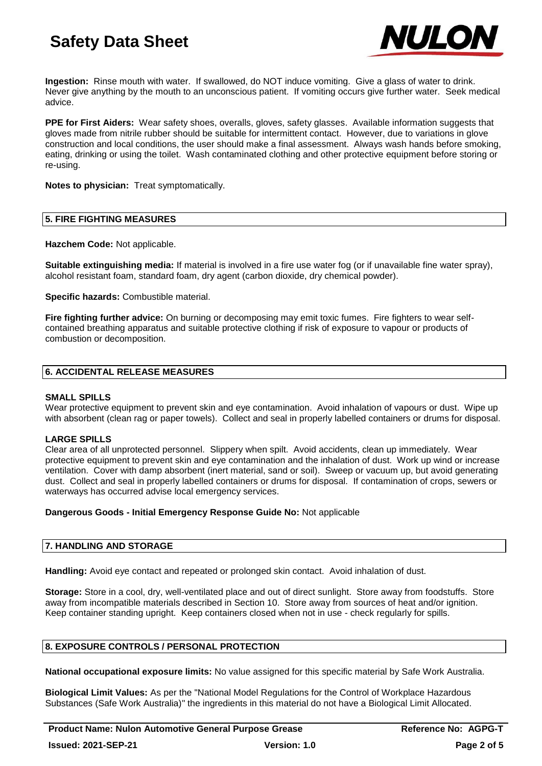

**Ingestion:** Rinse mouth with water. If swallowed, do NOT induce vomiting. Give a glass of water to drink. Never give anything by the mouth to an unconscious patient. If vomiting occurs give further water. Seek medical advice.

**PPE for First Aiders:** Wear safety shoes, overalls, gloves, safety glasses. Available information suggests that gloves made from nitrile rubber should be suitable for intermittent contact. However, due to variations in glove construction and local conditions, the user should make a final assessment. Always wash hands before smoking, eating, drinking or using the toilet. Wash contaminated clothing and other protective equipment before storing or re-using.

**Notes to physician:** Treat symptomatically.

## **5. FIRE FIGHTING MEASURES**

**Hazchem Code:** Not applicable.

**Suitable extinguishing media:** If material is involved in a fire use water fog (or if unavailable fine water spray), alcohol resistant foam, standard foam, dry agent (carbon dioxide, dry chemical powder).

**Specific hazards:** Combustible material.

**Fire fighting further advice:** On burning or decomposing may emit toxic fumes. Fire fighters to wear selfcontained breathing apparatus and suitable protective clothing if risk of exposure to vapour or products of combustion or decomposition.

## **6. ACCIDENTAL RELEASE MEASURES**

# **SMALL SPILLS**

Wear protective equipment to prevent skin and eye contamination. Avoid inhalation of vapours or dust. Wipe up with absorbent (clean rag or paper towels). Collect and seal in properly labelled containers or drums for disposal.

# **LARGE SPILLS**

Clear area of all unprotected personnel. Slippery when spilt. Avoid accidents, clean up immediately. Wear protective equipment to prevent skin and eye contamination and the inhalation of dust. Work up wind or increase ventilation. Cover with damp absorbent (inert material, sand or soil). Sweep or vacuum up, but avoid generating dust. Collect and seal in properly labelled containers or drums for disposal. If contamination of crops, sewers or waterways has occurred advise local emergency services.

#### **Dangerous Goods - Initial Emergency Response Guide No:** Not applicable

# **7. HANDLING AND STORAGE**

**Handling:** Avoid eye contact and repeated or prolonged skin contact. Avoid inhalation of dust.

**Storage:** Store in a cool, dry, well-ventilated place and out of direct sunlight. Store away from foodstuffs. Store away from incompatible materials described in Section 10. Store away from sources of heat and/or ignition. Keep container standing upright. Keep containers closed when not in use - check regularly for spills.

#### **8. EXPOSURE CONTROLS / PERSONAL PROTECTION**

**National occupational exposure limits:** No value assigned for this specific material by Safe Work Australia.

**Biological Limit Values:** As per the "National Model Regulations for the Control of Workplace Hazardous Substances (Safe Work Australia)" the ingredients in this material do not have a Biological Limit Allocated.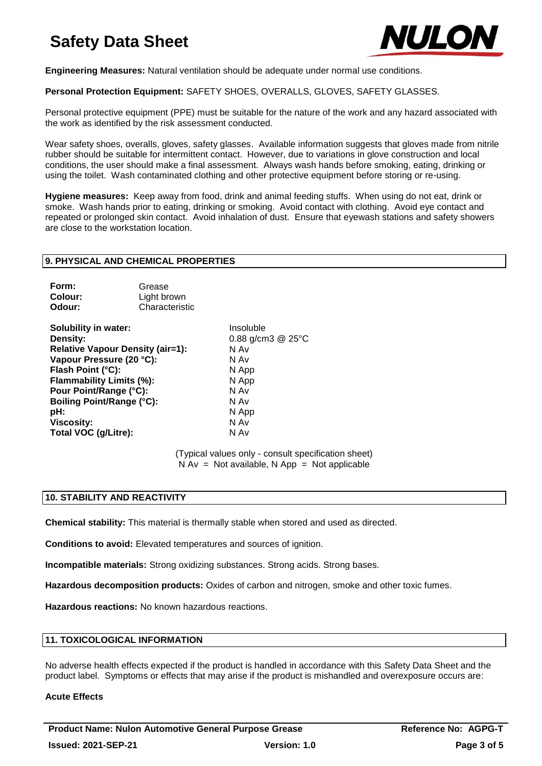

**Engineering Measures:** Natural ventilation should be adequate under normal use conditions.

**Personal Protection Equipment:** SAFETY SHOES, OVERALLS, GLOVES, SAFETY GLASSES.

Personal protective equipment (PPE) must be suitable for the nature of the work and any hazard associated with the work as identified by the risk assessment conducted.

Wear safety shoes, overalls, gloves, safety glasses. Available information suggests that gloves made from nitrile rubber should be suitable for intermittent contact. However, due to variations in glove construction and local conditions, the user should make a final assessment. Always wash hands before smoking, eating, drinking or using the toilet. Wash contaminated clothing and other protective equipment before storing or re-using.

**Hygiene measures:** Keep away from food, drink and animal feeding stuffs. When using do not eat, drink or smoke. Wash hands prior to eating, drinking or smoking. Avoid contact with clothing. Avoid eye contact and repeated or prolonged skin contact. Avoid inhalation of dust. Ensure that eyewash stations and safety showers are close to the workstation location.

#### **9. PHYSICAL AND CHEMICAL PROPERTIES**

| Form:   | Grease         |
|---------|----------------|
| Colour: | Light brown    |
| Odour:  | Characteristic |

**Solubility in water:** Insoluble **Density:** 0.88 g/cm3 @ 25°C **Relative Vapour Density (air=1):** N Av **Vapour Pressure (20 °C):** N Av **Flash Point (°C):** N App **Flammability Limits (%):** N App **Pour Point/Range (°C):** N Av **Boiling Point/Range (°C):** N Av **pH:** N App **Viscosity:** N Av **N** Av **Total VOC (q/Litre):** N Av **N** Av **Total VOC (g/Litre):** 

(Typical values only - consult specification sheet)  $N Av = Not available$ . N App = Not applicable

# **10. STABILITY AND REACTIVITY**

**Chemical stability:** This material is thermally stable when stored and used as directed.

**Conditions to avoid:** Elevated temperatures and sources of ignition.

**Incompatible materials:** Strong oxidizing substances. Strong acids. Strong bases.

**Hazardous decomposition products:** Oxides of carbon and nitrogen, smoke and other toxic fumes.

**Hazardous reactions:** No known hazardous reactions.

# **11. TOXICOLOGICAL INFORMATION**

No adverse health effects expected if the product is handled in accordance with this Safety Data Sheet and the product label. Symptoms or effects that may arise if the product is mishandled and overexposure occurs are:

#### **Acute Effects**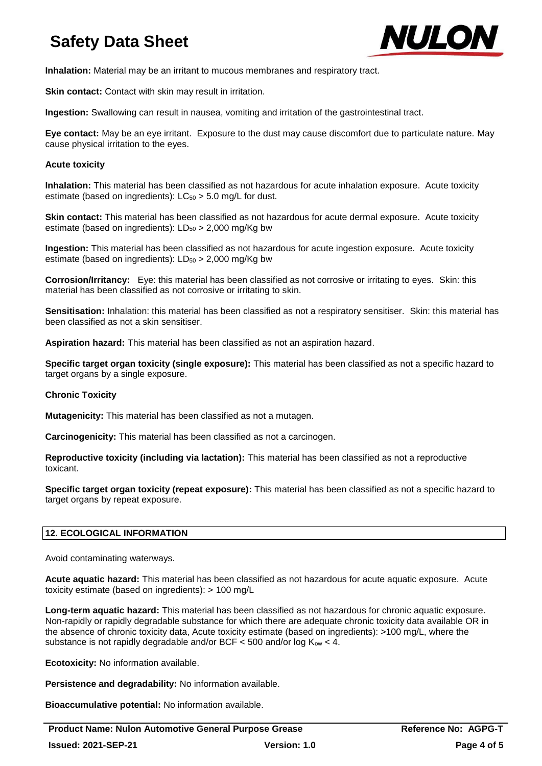

**Inhalation:** Material may be an irritant to mucous membranes and respiratory tract.

**Skin contact:** Contact with skin may result in irritation.

**Ingestion:** Swallowing can result in nausea, vomiting and irritation of the gastrointestinal tract.

**Eye contact:** May be an eye irritant. Exposure to the dust may cause discomfort due to particulate nature. May cause physical irritation to the eyes.

## **Acute toxicity**

**Inhalation:** This material has been classified as not hazardous for acute inhalation exposure. Acute toxicity estimate (based on ingredients):  $LC_{50} > 5.0$  mg/L for dust.

**Skin contact:** This material has been classified as not hazardous for acute dermal exposure. Acute toxicity estimate (based on ingredients):  $LD_{50} > 2,000$  mg/Kg bw

**Ingestion:** This material has been classified as not hazardous for acute ingestion exposure. Acute toxicity estimate (based on ingredients):  $LD_{50} > 2,000$  mg/Kg bw

**Corrosion/Irritancy:** Eye: this material has been classified as not corrosive or irritating to eyes. Skin: this material has been classified as not corrosive or irritating to skin.

**Sensitisation:** Inhalation: this material has been classified as not a respiratory sensitiser. Skin: this material has been classified as not a skin sensitiser.

**Aspiration hazard:** This material has been classified as not an aspiration hazard.

**Specific target organ toxicity (single exposure):** This material has been classified as not a specific hazard to target organs by a single exposure.

# **Chronic Toxicity**

**Mutagenicity:** This material has been classified as not a mutagen.

**Carcinogenicity:** This material has been classified as not a carcinogen.

**Reproductive toxicity (including via lactation):** This material has been classified as not a reproductive toxicant.

**Specific target organ toxicity (repeat exposure):** This material has been classified as not a specific hazard to target organs by repeat exposure.

# **12. ECOLOGICAL INFORMATION**

Avoid contaminating waterways.

**Acute aquatic hazard:** This material has been classified as not hazardous for acute aquatic exposure. Acute toxicity estimate (based on ingredients): > 100 mg/L

**Long-term aquatic hazard:** This material has been classified as not hazardous for chronic aquatic exposure. Non-rapidly or rapidly degradable substance for which there are adequate chronic toxicity data available OR in the absence of chronic toxicity data, Acute toxicity estimate (based on ingredients): >100 mg/L, where the substance is not rapidly degradable and/or BCF  $<$  500 and/or log K<sub>ow</sub>  $<$  4.

**Ecotoxicity:** No information available.

**Persistence and degradability:** No information available.

**Bioaccumulative potential:** No information available.